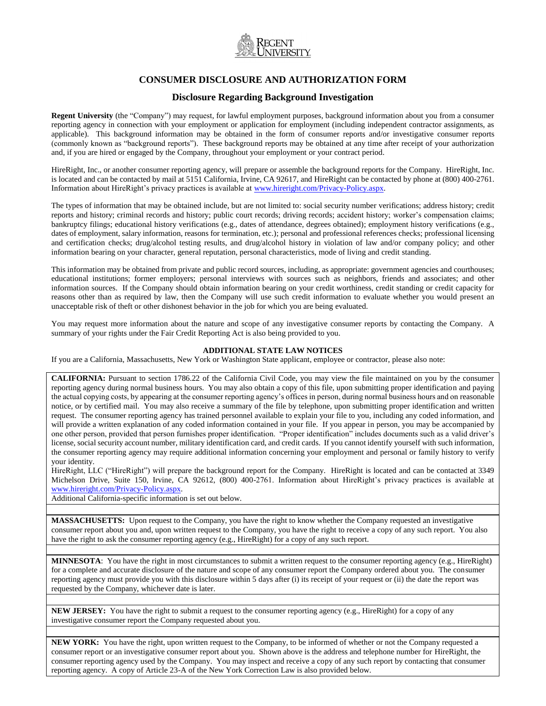

### **CONSUMER DISCLOSURE AND AUTHORIZATION FORM**

### **Disclosure Regarding Background Investigation**

**Regent University** (the "Company") may request, for lawful employment purposes, background information about you from a consumer reporting agency in connection with your employment or application for employment (including independent contractor assignments, as applicable). This background information may be obtained in the form of consumer reports and/or investigative consumer reports (commonly known as "background reports"). These background reports may be obtained at any time after receipt of your authorization and, if you are hired or engaged by the Company, throughout your employment or your contract period.

HireRight, Inc., or another consumer reporting agency, will prepare or assemble the background reports for the Company. HireRight, Inc. is located and can be contacted by mail at 5151 California, Irvine, CA 92617, and HireRight can be contacted by phone at (800) 400-2761. Information about HireRight's privacy practices is available at [www.hireright.com/Privacy-Policy.aspx.](http://www.hireright.com/Privacy-Policy.aspx)

The types of information that may be obtained include, but are not limited to: social security number verifications; address history; credit reports and history; criminal records and history; public court records; driving records; accident history; worker's compensation claims; bankruptcy filings; educational history verifications (e.g., dates of attendance, degrees obtained); employment history verifications (e.g., dates of employment, salary information, reasons for termination, etc.); personal and professional references checks; professional licensing and certification checks; drug/alcohol testing results, and drug/alcohol history in violation of law and/or company policy; and other information bearing on your character, general reputation, personal characteristics, mode of living and credit standing.

This information may be obtained from private and public record sources, including, as appropriate: government agencies and courthouses; educational institutions; former employers; personal interviews with sources such as neighbors, friends and associates; and other information sources. If the Company should obtain information bearing on your credit worthiness, credit standing or credit capacity for reasons other than as required by law, then the Company will use such credit information to evaluate whether you would present an unacceptable risk of theft or other dishonest behavior in the job for which you are being evaluated.

You may request more information about the nature and scope of any investigative consumer reports by contacting the Company. A summary of your rights under the Fair Credit Reporting Act is also being provided to you.

### **ADDITIONAL STATE LAW NOTICES**

If you are a California, Massachusetts, New York or Washington State applicant, employee or contractor, please also note:

**CALIFORNIA:** Pursuant to section 1786.22 of the California Civil Code, you may view the file maintained on you by the consumer reporting agency during normal business hours. You may also obtain a copy of this file, upon submitting proper identification and paying the actual copying costs, by appearing at the consumer reporting agency's offices in person, during normal business hours and on reasonable notice, or by certified mail. You may also receive a summary of the file by telephone, upon submitting proper identification and written request. The consumer reporting agency has trained personnel available to explain your file to you, including any coded information, and will provide a written explanation of any coded information contained in your file. If you appear in person, you may be accompanied by one other person, provided that person furnishes proper identification. "Proper identification" includes documents such as a valid driver's license, social security account number, military identification card, and credit cards. If you cannot identify yourself with such information, the consumer reporting agency may require additional information concerning your employment and personal or family history to verify your identity.

HireRight, LLC ("HireRight") will prepare the background report for the Company. HireRight is located and can be contacted at 3349 Michelson Drive, Suite 150, Irvine, CA 92612, (800) 400-2761. Information about HireRight's privacy practices is available at [www.hireright.com/Privacy-Policy.aspx.](http://www.hireright.com/Privacy-Policy.aspx)

Additional California-specific information is set out below.

**MASSACHUSETTS:** Upon request to the Company, you have the right to know whether the Company requested an investigative consumer report about you and, upon written request to the Company, you have the right to receive a copy of any such report. You also have the right to ask the consumer reporting agency (e.g., HireRight) for a copy of any such report.

**MINNESOTA**: You have the right in most circumstances to submit a written request to the consumer reporting agency (e.g., HireRight) for a complete and accurate disclosure of the nature and scope of any consumer report the Company ordered about you. The consumer reporting agency must provide you with this disclosure within 5 days after (i) its receipt of your request or (ii) the date the report was requested by the Company, whichever date is later.

**NEW JERSEY:** You have the right to submit a request to the consumer reporting agency (e.g., HireRight) for a copy of any investigative consumer report the Company requested about you.

**NEW YORK:** You have the right, upon written request to the Company, to be informed of whether or not the Company requested a consumer report or an investigative consumer report about you. Shown above is the address and telephone number for HireRight, the consumer reporting agency used by the Company. You may inspect and receive a copy of any such report by contacting that consumer reporting agency. A copy of Article 23-A of the New York Correction Law is also provided below.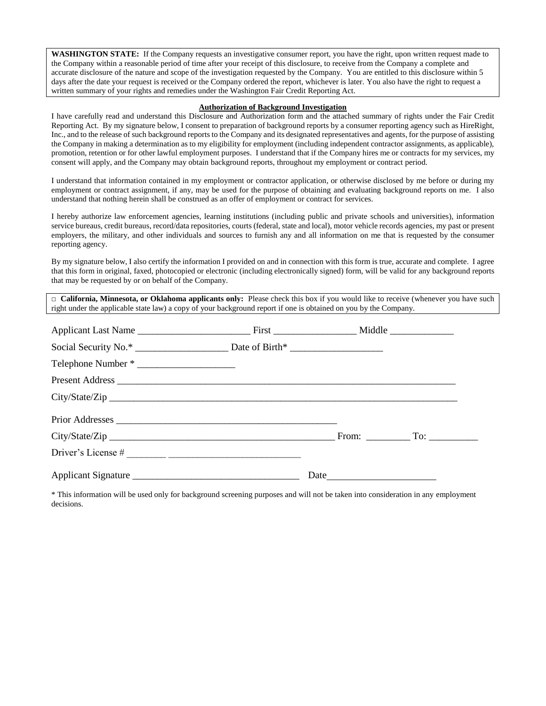**WASHINGTON STATE:** If the Company requests an investigative consumer report, you have the right, upon written request made to the Company within a reasonable period of time after your receipt of this disclosure, to receive from the Company a complete and accurate disclosure of the nature and scope of the investigation requested by the Company. You are entitled to this disclosure within 5 days after the date your request is received or the Company ordered the report, whichever is later. You also have the right to request a written summary of your rights and remedies under the Washington Fair Credit Reporting Act.

#### **Authorization of Background Investigation**

I have carefully read and understand this Disclosure and Authorization form and the attached summary of rights under the Fair Credit Reporting Act. By my signature below, I consent to preparation of background reports by a consumer reporting agency such as HireRight, Inc., and to the release of such background reports to the Company and its designated representatives and agents, for the purpose of assisting the Company in making a determination as to my eligibility for employment (including independent contractor assignments, as applicable), promotion, retention or for other lawful employment purposes. I understand that if the Company hires me or contracts for my services, my consent will apply, and the Company may obtain background reports, throughout my employment or contract period.

I understand that information contained in my employment or contractor application, or otherwise disclosed by me before or during my employment or contract assignment, if any, may be used for the purpose of obtaining and evaluating background reports on me. I also understand that nothing herein shall be construed as an offer of employment or contract for services.

I hereby authorize law enforcement agencies, learning institutions (including public and private schools and universities), information service bureaus, credit bureaus, record/data repositories, courts (federal, state and local), motor vehicle records agencies, my past or present employers, the military, and other individuals and sources to furnish any and all information on me that is requested by the consumer reporting agency.

By my signature below, I also certify the information I provided on and in connection with this form is true, accurate and complete. I agree that this form in original, faxed, photocopied or electronic (including electronically signed) form, will be valid for any background reports that may be requested by or on behalf of the Company.

□ **California, Minnesota, or Oklahoma applicants only:** Please check this box if you would like to receive (whenever you have such right under the applicable state law) a copy of your background report if one is obtained on you by the Company.

| City/State/Zip |      |  |
|----------------|------|--|
|                |      |  |
|                |      |  |
|                |      |  |
|                | Date |  |

\* This information will be used only for background screening purposes and will not be taken into consideration in any employment decisions.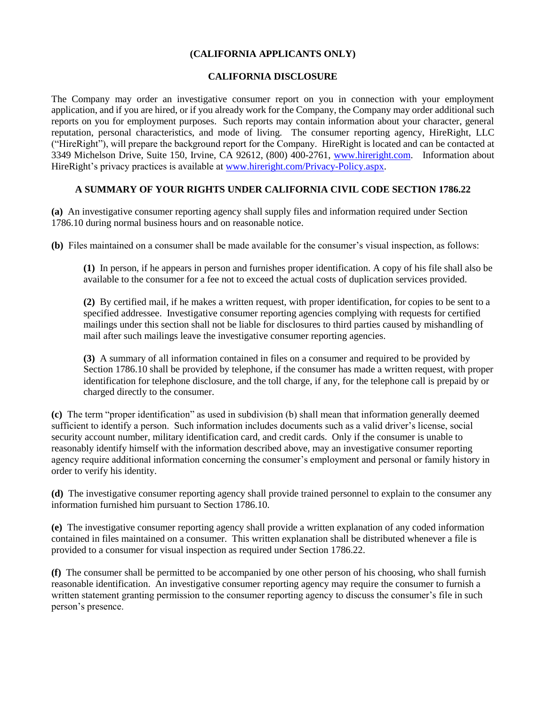# **(CALIFORNIA APPLICANTS ONLY)**

### **CALIFORNIA DISCLOSURE**

The Company may order an investigative consumer report on you in connection with your employment application, and if you are hired, or if you already work for the Company, the Company may order additional such reports on you for employment purposes. Such reports may contain information about your character, general reputation, personal characteristics, and mode of living. The consumer reporting agency, HireRight, LLC ("HireRight"), will prepare the background report for the Company. HireRight is located and can be contacted at 3349 Michelson Drive, Suite 150, Irvine, CA 92612, (800) 400-2761, [www.hireright.com.](http://www.hireright.com/) Information about HireRight's privacy practices is available at [www.hireright.com/Privacy-Policy.aspx.](http://www.hireright.com/Privacy-Policy.aspx)

## **A SUMMARY OF YOUR RIGHTS UNDER CALIFORNIA CIVIL CODE SECTION 1786.22**

**(a)** An investigative consumer reporting agency shall supply files and information required under Section 1786.10 during normal business hours and on reasonable notice.

**(b)** Files maintained on a consumer shall be made available for the consumer's visual inspection, as follows:

**(1)** In person, if he appears in person and furnishes proper identification. A copy of his file shall also be available to the consumer for a fee not to exceed the actual costs of duplication services provided.

**(2)** By certified mail, if he makes a written request, with proper identification, for copies to be sent to a specified addressee. Investigative consumer reporting agencies complying with requests for certified mailings under this section shall not be liable for disclosures to third parties caused by mishandling of mail after such mailings leave the investigative consumer reporting agencies.

**(3)** A summary of all information contained in files on a consumer and required to be provided by Section 1786.10 shall be provided by telephone, if the consumer has made a written request, with proper identification for telephone disclosure, and the toll charge, if any, for the telephone call is prepaid by or charged directly to the consumer.

**(c)** The term "proper identification" as used in subdivision (b) shall mean that information generally deemed sufficient to identify a person. Such information includes documents such as a valid driver's license, social security account number, military identification card, and credit cards. Only if the consumer is unable to reasonably identify himself with the information described above, may an investigative consumer reporting agency require additional information concerning the consumer's employment and personal or family history in order to verify his identity.

**(d)** The investigative consumer reporting agency shall provide trained personnel to explain to the consumer any information furnished him pursuant to Section 1786.10.

**(e)** The investigative consumer reporting agency shall provide a written explanation of any coded information contained in files maintained on a consumer. This written explanation shall be distributed whenever a file is provided to a consumer for visual inspection as required under Section 1786.22.

**(f)** The consumer shall be permitted to be accompanied by one other person of his choosing, who shall furnish reasonable identification. An investigative consumer reporting agency may require the consumer to furnish a written statement granting permission to the consumer reporting agency to discuss the consumer's file in such person's presence.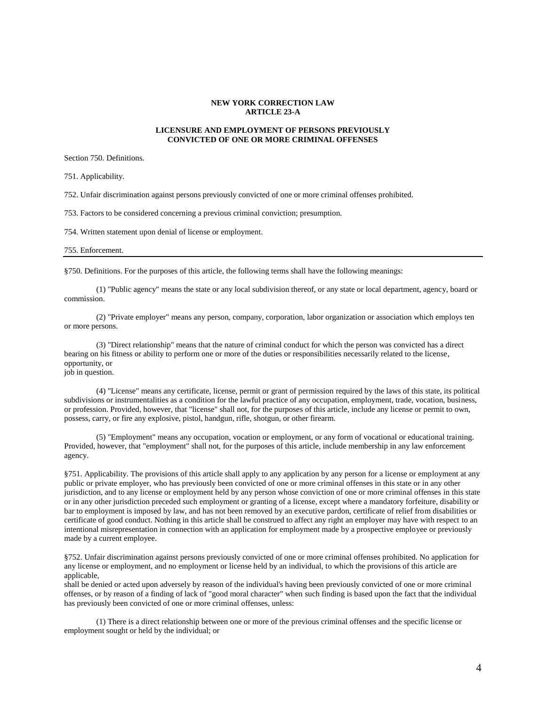#### **NEW YORK CORRECTION LAW ARTICLE 23-A**

#### **LICENSURE AND EMPLOYMENT OF PERSONS PREVIOUSLY CONVICTED OF ONE OR MORE CRIMINAL OFFENSES**

Section 750. Definitions.

751. Applicability.

752. Unfair discrimination against persons previously convicted of one or more criminal offenses prohibited.

753. Factors to be considered concerning a previous criminal conviction; presumption.

754. Written statement upon denial of license or employment.

755. Enforcement.

§750. Definitions. For the purposes of this article, the following terms shall have the following meanings:

(1) "Public agency" means the state or any local subdivision thereof, or any state or local department, agency, board or commission.

(2) "Private employer" means any person, company, corporation, labor organization or association which employs ten or more persons.

(3) "Direct relationship" means that the nature of criminal conduct for which the person was convicted has a direct bearing on his fitness or ability to perform one or more of the duties or responsibilities necessarily related to the license, opportunity, or job in question.

(4) "License" means any certificate, license, permit or grant of permission required by the laws of this state, its political subdivisions or instrumentalities as a condition for the lawful practice of any occupation, employment, trade, vocation, business, or profession. Provided, however, that "license" shall not, for the purposes of this article, include any license or permit to own, possess, carry, or fire any explosive, pistol, handgun, rifle, shotgun, or other firearm.

(5) "Employment" means any occupation, vocation or employment, or any form of vocational or educational training. Provided, however, that "employment" shall not, for the purposes of this article, include membership in any law enforcement agency.

§751. Applicability. The provisions of this article shall apply to any application by any person for a license or employment at any public or private employer, who has previously been convicted of one or more criminal offenses in this state or in any other jurisdiction, and to any license or employment held by any person whose conviction of one or more criminal offenses in this state or in any other jurisdiction preceded such employment or granting of a license, except where a mandatory forfeiture, disability or bar to employment is imposed by law, and has not been removed by an executive pardon, certificate of relief from disabilities or certificate of good conduct. Nothing in this article shall be construed to affect any right an employer may have with respect to an intentional misrepresentation in connection with an application for employment made by a prospective employee or previously made by a current employee.

§752. Unfair discrimination against persons previously convicted of one or more criminal offenses prohibited. No application for any license or employment, and no employment or license held by an individual, to which the provisions of this article are applicable,

shall be denied or acted upon adversely by reason of the individual's having been previously convicted of one or more criminal offenses, or by reason of a finding of lack of "good moral character" when such finding is based upon the fact that the individual has previously been convicted of one or more criminal offenses, unless:

(1) There is a direct relationship between one or more of the previous criminal offenses and the specific license or employment sought or held by the individual; or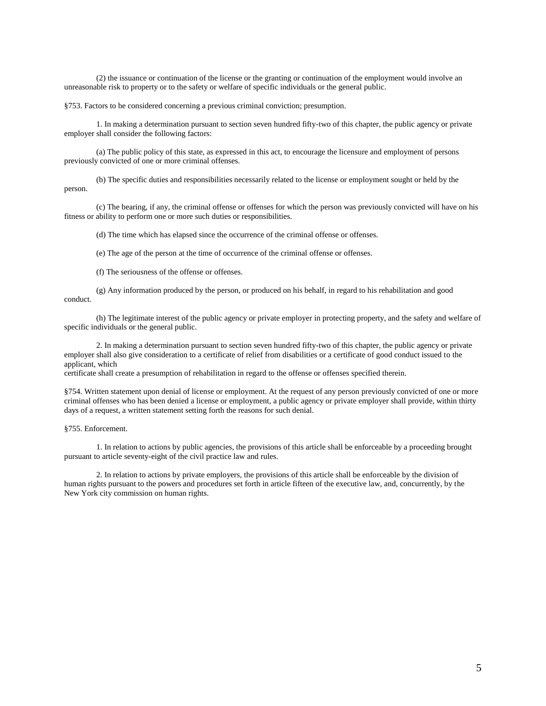(2) the issuance or continuation of the license or the granting or continuation of the employment would involve an unreasonable risk to property or to the safety or welfare of specific individuals or the general public.

§753. Factors to be considered concerning a previous criminal conviction; presumption.

1. In making a determination pursuant to section seven hundred fifty-two of this chapter, the public agency or private employer shall consider the following factors:

(a) The public policy of this state, as expressed in this act, to encourage the licensure and employment of persons previously convicted of one or more criminal offenses.

(b) The specific duties and responsibilities necessarily related to the license or employment sought or held by the person.

(c) The bearing, if any, the criminal offense or offenses for which the person was previously convicted will have on his fitness or ability to perform one or more such duties or responsibilities.

(d) The time which has elapsed since the occurrence of the criminal offense or offenses.

(e) The age of the person at the time of occurrence of the criminal offense or offenses.

(f) The seriousness of the offense or offenses.

(g) Any information produced by the person, or produced on his behalf, in regard to his rehabilitation and good conduct.

(h) The legitimate interest of the public agency or private employer in protecting property, and the safety and welfare of specific individuals or the general public.

2. In making a determination pursuant to section seven hundred fifty-two of this chapter, the public agency or private employer shall also give consideration to a certificate of relief from disabilities or a certificate of good conduct issued to the applicant, which

certificate shall create a presumption of rehabilitation in regard to the offense or offenses specified therein.

§754. Written statement upon denial of license or employment. At the request of any person previously convicted of one or more criminal offenses who has been denied a license or employment, a public agency or private employer shall provide, within thirty days of a request, a written statement setting forth the reasons for such denial.

§755. Enforcement.

1. In relation to actions by public agencies, the provisions of this article shall be enforceable by a proceeding brought pursuant to article seventy-eight of the civil practice law and rules.

2. In relation to actions by private employers, the provisions of this article shall be enforceable by the division of human rights pursuant to the powers and procedures set forth in article fifteen of the executive law, and, concurrently, by the New York city commission on human rights.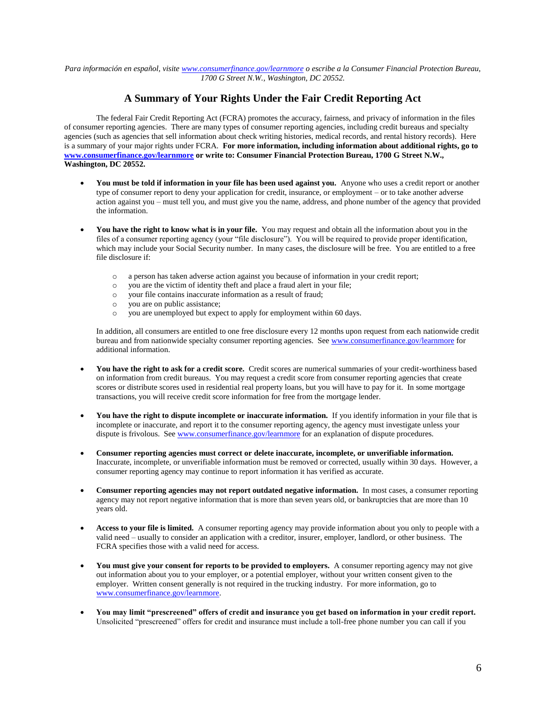*Para información en español, visit[e www.consumerfinance.gov/learnmore](http://www.consumerfinance.gov/learnmore) o escribe a la Consumer Financial Protection Bureau, 1700 G Street N.W., Washington, DC 20552.*

# **A Summary of Your Rights Under the Fair Credit Reporting Act**

The federal Fair Credit Reporting Act (FCRA) promotes the accuracy, fairness, and privacy of information in the files of consumer reporting agencies. There are many types of consumer reporting agencies, including credit bureaus and specialty agencies (such as agencies that sell information about check writing histories, medical records, and rental history records). Here is a summary of your major rights under FCRA. **For more information, including information about additional rights, go to [www.consumerfinance.gov/learnmore](http://www.consumerfinance.gov/learnmore) or write to: Consumer Financial Protection Bureau, 1700 G Street N.W., Washington, DC 20552.**

- **You must be told if information in your file has been used against you.** Anyone who uses a credit report or another type of consumer report to deny your application for credit, insurance, or employment – or to take another adverse action against you – must tell you, and must give you the name, address, and phone number of the agency that provided the information.
- **You have the right to know what is in your file.** You may request and obtain all the information about you in the files of a consumer reporting agency (your "file disclosure"). You will be required to provide proper identification, which may include your Social Security number. In many cases, the disclosure will be free. You are entitled to a free file disclosure if:
	- o a person has taken adverse action against you because of information in your credit report;
	- o you are the victim of identity theft and place a fraud alert in your file;
	- o your file contains inaccurate information as a result of fraud;
	- o you are on public assistance;
	- o you are unemployed but expect to apply for employment within 60 days.

In addition, all consumers are entitled to one free disclosure every 12 months upon request from each nationwide credit bureau and from nationwide specialty consumer reporting agencies. Se[e www.consumerfinance.gov/learnmore](http://www.consumerfinance.gov/learnmore) for additional information.

- You have the right to ask for a credit score. Credit scores are numerical summaries of your credit-worthiness based on information from credit bureaus. You may request a credit score from consumer reporting agencies that create scores or distribute scores used in residential real property loans, but you will have to pay for it. In some mortgage transactions, you will receive credit score information for free from the mortgage lender.
- **You have the right to dispute incomplete or inaccurate information.** If you identify information in your file that is incomplete or inaccurate, and report it to the consumer reporting agency, the agency must investigate unless your dispute is frivolous. See [www.consumerfinance.gov/learnmore](http://www.consumerfinance.gov/learnmore) for an explanation of dispute procedures.
- **Consumer reporting agencies must correct or delete inaccurate, incomplete, or unverifiable information.**  Inaccurate, incomplete, or unverifiable information must be removed or corrected, usually within 30 days. However, a consumer reporting agency may continue to report information it has verified as accurate.
- **Consumer reporting agencies may not report outdated negative information.** In most cases, a consumer reporting agency may not report negative information that is more than seven years old, or bankruptcies that are more than 10 years old.
- **Access to your file is limited.** A consumer reporting agency may provide information about you only to people with a valid need – usually to consider an application with a creditor, insurer, employer, landlord, or other business. The FCRA specifies those with a valid need for access.
- **You must give your consent for reports to be provided to employers.** A consumer reporting agency may not give out information about you to your employer, or a potential employer, without your written consent given to the employer. Written consent generally is not required in the trucking industry. For more information, go to [www.consumerfinance.gov/learnmore.](http://www.consumerfinance.gov/learnmore)
- **You may limit "prescreened" offers of credit and insurance you get based on information in your credit report.** Unsolicited "prescreened" offers for credit and insurance must include a toll-free phone number you can call if you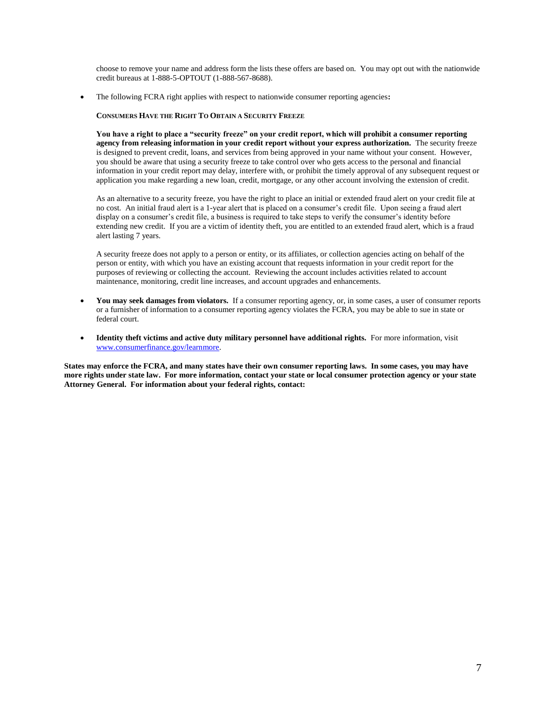choose to remove your name and address form the lists these offers are based on. You may opt out with the nationwide credit bureaus at 1-888-5-OPTOUT (1-888-567-8688).

The following FCRA right applies with respect to nationwide consumer reporting agencies**:**

**CONSUMERS HAVE THE RIGHT TO OBTAIN A SECURITY FREEZE**

**You have a right to place a "security freeze" on your credit report, which will prohibit a consumer reporting agency from releasing information in your credit report without your express authorization.** The security freeze is designed to prevent credit, loans, and services from being approved in your name without your consent. However, you should be aware that using a security freeze to take control over who gets access to the personal and financial information in your credit report may delay, interfere with, or prohibit the timely approval of any subsequent request or application you make regarding a new loan, credit, mortgage, or any other account involving the extension of credit.

As an alternative to a security freeze, you have the right to place an initial or extended fraud alert on your credit file at no cost. An initial fraud alert is a 1-year alert that is placed on a consumer's credit file. Upon seeing a fraud alert display on a consumer's credit file, a business is required to take steps to verify the consumer's identity before extending new credit. If you are a victim of identity theft, you are entitled to an extended fraud alert, which is a fraud alert lasting 7 years.

A security freeze does not apply to a person or entity, or its affiliates, or collection agencies acting on behalf of the person or entity, with which you have an existing account that requests information in your credit report for the purposes of reviewing or collecting the account. Reviewing the account includes activities related to account maintenance, monitoring, credit line increases, and account upgrades and enhancements.

- **You may seek damages from violators.** If a consumer reporting agency, or, in some cases, a user of consumer reports or a furnisher of information to a consumer reporting agency violates the FCRA, you may be able to sue in state or federal court.
- **Identity theft victims and active duty military personnel have additional rights.** For more information, visit [www.consumerfinance.gov/learnmore.](http://www.consumerfinance.gov/learnmore)

**States may enforce the FCRA, and many states have their own consumer reporting laws. In some cases, you may have more rights under state law. For more information, contact your state or local consumer protection agency or your state Attorney General. For information about your federal rights, contact:**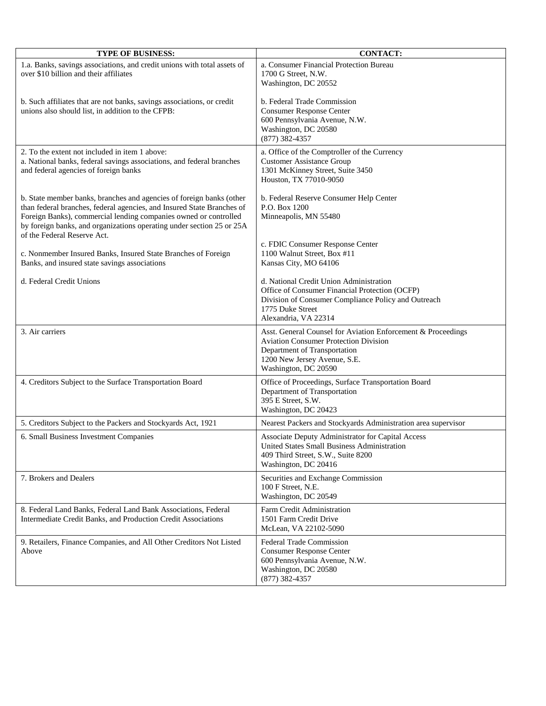| <b>TYPE OF BUSINESS:</b>                                                                                                                                                                                                                                                                                                   | <b>CONTACT:</b>                                                                                                                                                                                      |  |  |
|----------------------------------------------------------------------------------------------------------------------------------------------------------------------------------------------------------------------------------------------------------------------------------------------------------------------------|------------------------------------------------------------------------------------------------------------------------------------------------------------------------------------------------------|--|--|
| 1.a. Banks, savings associations, and credit unions with total assets of<br>over \$10 billion and their affiliates                                                                                                                                                                                                         | a. Consumer Financial Protection Bureau<br>1700 G Street, N.W.<br>Washington, DC 20552                                                                                                               |  |  |
| b. Such affiliates that are not banks, savings associations, or credit<br>unions also should list, in addition to the CFPB:                                                                                                                                                                                                | b. Federal Trade Commission<br><b>Consumer Response Center</b><br>600 Pennsylvania Avenue, N.W.<br>Washington, DC 20580<br>$(877)$ 382-4357                                                          |  |  |
| 2. To the extent not included in item 1 above:<br>a. National banks, federal savings associations, and federal branches<br>and federal agencies of foreign banks                                                                                                                                                           | a. Office of the Comptroller of the Currency<br><b>Customer Assistance Group</b><br>1301 McKinney Street, Suite 3450<br>Houston, TX 77010-9050                                                       |  |  |
| b. State member banks, branches and agencies of foreign banks (other<br>than federal branches, federal agencies, and Insured State Branches of<br>Foreign Banks), commercial lending companies owned or controlled<br>by foreign banks, and organizations operating under section 25 or 25A<br>of the Federal Reserve Act. | b. Federal Reserve Consumer Help Center<br>P.O. Box 1200<br>Minneapolis, MN 55480                                                                                                                    |  |  |
| c. Nonmember Insured Banks, Insured State Branches of Foreign<br>Banks, and insured state savings associations                                                                                                                                                                                                             | c. FDIC Consumer Response Center<br>1100 Walnut Street, Box #11<br>Kansas City, MO 64106                                                                                                             |  |  |
| d. Federal Credit Unions                                                                                                                                                                                                                                                                                                   | d. National Credit Union Administration<br>Office of Consumer Financial Protection (OCFP)<br>Division of Consumer Compliance Policy and Outreach<br>1775 Duke Street<br>Alexandria, VA 22314         |  |  |
| 3. Air carriers                                                                                                                                                                                                                                                                                                            | Asst. General Counsel for Aviation Enforcement & Proceedings<br><b>Aviation Consumer Protection Division</b><br>Department of Transportation<br>1200 New Jersey Avenue, S.E.<br>Washington, DC 20590 |  |  |
| 4. Creditors Subject to the Surface Transportation Board                                                                                                                                                                                                                                                                   | Office of Proceedings, Surface Transportation Board<br>Department of Transportation<br>395 E Street, S.W.<br>Washington, DC 20423                                                                    |  |  |
| 5. Creditors Subject to the Packers and Stockyards Act, 1921                                                                                                                                                                                                                                                               | Nearest Packers and Stockyards Administration area supervisor                                                                                                                                        |  |  |
| 6. Small Business Investment Companies                                                                                                                                                                                                                                                                                     | Associate Deputy Administrator for Capital Access<br>United States Small Business Administration<br>409 Third Street, S.W., Suite 8200<br>Washington, DC 20416                                       |  |  |
| 7. Brokers and Dealers                                                                                                                                                                                                                                                                                                     | Securities and Exchange Commission<br>100 F Street, N.E.<br>Washington, DC 20549                                                                                                                     |  |  |
| 8. Federal Land Banks, Federal Land Bank Associations, Federal<br>Intermediate Credit Banks, and Production Credit Associations                                                                                                                                                                                            | Farm Credit Administration<br>1501 Farm Credit Drive<br>McLean, VA 22102-5090                                                                                                                        |  |  |
| 9. Retailers, Finance Companies, and All Other Creditors Not Listed<br>Above                                                                                                                                                                                                                                               | <b>Federal Trade Commission</b><br><b>Consumer Response Center</b><br>600 Pennsylvania Avenue, N.W.<br>Washington, DC 20580<br>$(877)$ 382-4357                                                      |  |  |